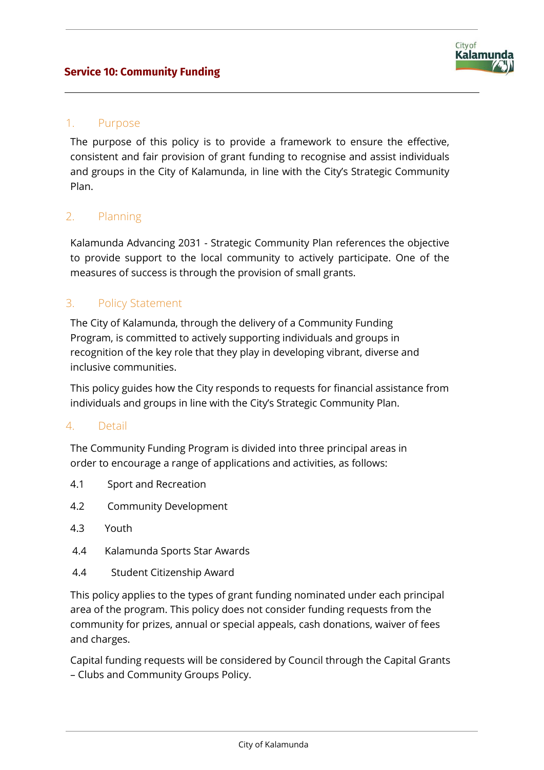

### 1. Purpose

The purpose of this policy is to provide a framework to ensure the effective, consistent and fair provision of grant funding to recognise and assist individuals and groups in the City of Kalamunda, in line with the City's Strategic Community Plan.

### 2. Planning

Kalamunda Advancing 2031 - Strategic Community Plan references the objective to provide support to the local community to actively participate. One of the measures of success is through the provision of small grants.

## 3. Policy Statement

The City of Kalamunda, through the delivery of a Community Funding Program, is committed to actively supporting individuals and groups in recognition of the key role that they play in developing vibrant, diverse and inclusive communities.

This policy guides how the City responds to requests for financial assistance from individuals and groups in line with the City's Strategic Community Plan.

#### 4. Detail

The Community Funding Program is divided into three principal areas in order to encourage a range of applications and activities, as follows:

- 4.1 Sport and Recreation
- 4.2 Community Development
- 4.3 Youth
- 4.4 Kalamunda Sports Star Awards
- 4.4 Student Citizenship Award

This policy applies to the types of grant funding nominated under each principal area of the program. This policy does not consider funding requests from the community for prizes, annual or special appeals, cash donations, waiver of fees and charges.

Capital funding requests will be considered by Council through the Capital Grants – Clubs and Community Groups Policy.